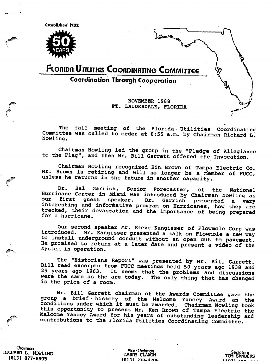Citabllihsd l?3£



(<sup>ork</sup>

# FLORIDA UTILITIES COORDINATING COMMITTEE

Coordination Through Cooperation

NOVEMBER 1988 FT. LAUDERDALE, FLORIDA

The fall meeting of the Florida- Utilities Coordinating Committee was called to order at 8:55 a.m. by Chairman Richard L. Nowling.

Chairman Nowling led the group in the "Pledge of Allegiance to the Flag", and then Mr. Bill Garrett offered the Invocation.

Chairman Nowling recognized Kin Brown of Tampa Electric Co. Mr, Brown is retiring and will no longer be a member of FUCC, unless he returns in the future in another capacity.

Dr. Hal Garrish, Senior Forecaster, of the National Hurricane Center in Miami was introduced by Chairman Nowling as first guest speaker. Dr. Garrish presented a very interesting and informative program on Hurricanes, how they are tracked, their devastation and the importance of being prepared for a hurricane.

Our second speaker Mr. Steve Kangisser of Flowmole Corp was introduced. Mr. Kangisser presented a talk on Flowmole a new way to install underground conduit without an open cut to pavement. He promised to return at a later date and present a video of the system in operation.

The "Historians Report" was presented by Mr. Bill Garrett. Bill read excerpts from FUCC meetings held 50 years ago 1938 and 25 years ago 1963. It seems that the problems and discussions were the same as the are today. The only thing that has changed is the price of a room.

Mr. Bill Garrett chairman of the Awards Committee gave the group a brief history of the Malcome Yancey Award an the conditions under which it must be awarded. Chairman Nowling took this opportunity to present Mr. Ken Brown of Tampa Electric the Malcome Yancey Award for his years of outstanding leadership and contributions to the Florida Utilities Coordinating Committee.

Chairman (GIARD L. NOWLING THE CHARGE THE CLAXON TO Secretary Secretary Secretary of the MARRY CLAXON TO Secretary Secretary<br>
(B13) 377-6805 (B13) 225-4706 (AN 07) 199-199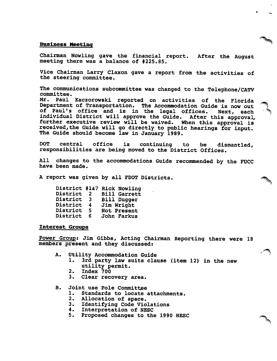#### Business Meeting

Chairman Howling gave the financial report. After the August meeting there was a balance of #225.85.

Vice Chairman Larry Claxon gave a report from the activities of the steering committee.

The communications subcommittee was changed to the Telephone/CATV committee.

Mr. Paul Kaczorowski reported on activities of the Florida Department of Transportation, The Accommodation Guide is now out of Paul's office and is in the legal offices. Next, each individual District will approve the Guide. After this approval, further executive review will be waived. When this approval is received,the Guide will go directly to public hearings for input. The Guide should become law in January 1989.

DOT central office is continuing to be dismantled, responsibilities are being moved to the District Offices.

All changes to the accommodations Guide recommended by the FUCC have been made.

A report was given by all FDOT Districts.

|   | District #1&7 Rick Nowling |
|---|----------------------------|
| 2 | <b>Bill Garrett</b>        |
| 3 | <b>Bill Dugger</b>         |
| 4 | Jim Wright                 |
| 5 | Not Present                |
| 6 | John Farkus                |
|   |                            |

#### Interest Groups

Power Group: Jim Gibbs, Acting Chaixman Reporting there were 18 members present and they discussed:

- A. Utility Accommodation Guide
	- 1. 3rd party law suits clause (item 12) in the new utility permit.
	- 2. Index 700<br>3. Clear reco
	- Clear recovery area.

B. Joint use Pole Committee

- 1. Standards to locate attachments.<br>2. Allocation of space.
- Allocation of space.
- 3. Identifying Code Violations<br>4. Interpretation of NESC
- 4. Interpretation of NESC
- 5. Proposed changes to the 1990 NESC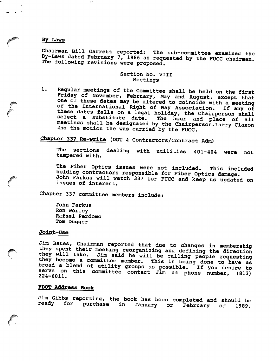#### By Laws

 $\mathbf{Q}_{\mathrm{eff}}$ 

Chairman Bill Garrett reported: The sub-committee examined the By-Laws dated February 7, 1986 as requested by the FUCC chairman. The following revisions were proposed.

# Section No. VIII Meetings

1. Regular meetings of the Committee shall be held on the first Friday of November, February, May and August, except that one of these dates may be altered to coincide with a meeting of the International Right of Way Association. If any of these dates falls on a legal holiday, the Chairperson shall select a substitute date. The hour and place of all select a substitute date. The hour and place of all<br>meetings shall be designated by the Chairperson.Larry Claxon 2nd the motion the was carried by the FUCC.

Chapter 337 Re-write (DOT & Contractors/Contract Adm)

The sections dealing with utilities 401-404 were not tampered with.

The Fiber Optics issues were not included. This included holding contractors responsible for Fiber Optics damage. John Farkus will watch 337 for FUCC and keep us updated on issues of interest.

Chapter 337 committee members include:

John Farkus Ron Worley Rafael Perdomo Tom Dugger

#### Joint-Use

Jim Bates, Chairman reported that due to changes in membership tney spent their meeting reorganizing and defining the direction they will take. Jim said he will be calling people requesting they become a committee member. This is being done to have as broad a blend of utility groups as possible. If you desire to  $224-6011$ .

# FOOT Address Book

Jim Gibbs reporting, the book has been completed and should be ready for purchase in January or February of 1989.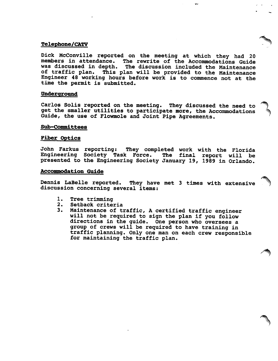# Telephone/CATV

Dick McConville reported on the meeting at which they had 20 members in attendance. The rewrite of the Accommodations Guide was discussed in depth. The discussion included the Maintenance of traffic plan. This plan will be provided to the Maintenance Engineer 48 working hours before work is to commence not at the time the permit is submitted.

Ġ.

# Underground

Carlos Solis reported on the meeting. They discussed the need to get the smaller utilities to participate more, the Accommodations Guide, the use of Flowmole and Joint Pipe Agreements.

### Sub-Committees

# Fiber Optics

John Farkus reporting: They completed work with the Florida Engineering Society Task Force. The final report will be presented to the Engineering Society January 19, 1989 in Orlando.

#### Accommodation Guide

Dennis LaBelle reported. They have met 3 times with extensive discussion concerning several items:

- 1. Tree trimming<br>2. Setback crite:
- 2. Setback criteria<br>3. Maintenance of t:
- Maintenance of traffic, A certified traffic engineer will not be required to sign the plan if you follow directions in the guide. One person who oversees a group of crews will be required to have training in traffic planning. Only one man on each crew responsible for maintaining the traffic plan.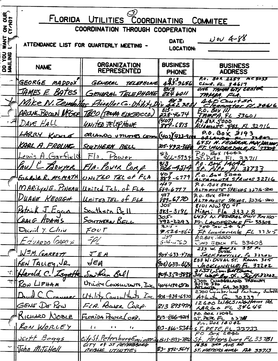| ON OUR            | FLORIDA UTILITIES<br>COORDINATING COMMITEE |                                                             |                                 |                                                                                     |  |  |
|-------------------|--------------------------------------------|-------------------------------------------------------------|---------------------------------|-------------------------------------------------------------------------------------|--|--|
|                   | COORDINATION THROUGH COOPERATION           |                                                             |                                 |                                                                                     |  |  |
| <b>ANAL</b>       |                                            | ATTENDANCE LIST FOR QUARTERLY MEETING -                     | DATE:<br><b>LOCATION:</b>       | $2004 - 88$                                                                         |  |  |
| DO YOU<br>MAILING | <b>NAME</b>                                | <b>ORGANIZATION</b><br><b>REPRESENTED</b>                   | <b>BUSINESS</b><br><b>PHONE</b> | <b>BUSINESS</b><br><b>ADDRESS</b>                                                   |  |  |
|                   | GEORGE MADDOX                              | GENERAL<br>TELEPHONE                                        | 423.9656                        | P.O. BOK 2257 MC5033<br>CLWR, FL, 34617                                             |  |  |
|                   | <u>JAMES E. BATES</u>                      | GENERAL TELEPHONE                                           | $rac{813}{224}$ boll            | ONE TAMPA GITY CENTER<br>TAMPA, FLA.                                                |  |  |
|                   |                                            | Mike N. Zembillac Prisellar Co. Utility                     | $\frac{2}{7}$                   | 440 Courtst                                                                         |  |  |
|                   |                                            | ARLENE BROWN MCGER TECO/TANYA ELECTRICCO.                   | 813 -                           | <u> carweter Fl.34616</u><br>P.O. Box III                                           |  |  |
|                   |                                            |                                                             | $228 - 4674$<br>'407)           | <u> TAMPA. FL 33601</u><br>$0.80 \times 5000$                                       |  |  |
|                   | DAVE HALL                                  | UNITED TELEPHONE                                            | $889 - 6813$                    | <u>IMONTE DES. Fl. 32716</u>                                                        |  |  |
|                   | LARRY Konsa                                | <u>arianos voumes commillicos/423-91</u>                    |                                 | $P.0.60 \times 3193$                                                                |  |  |
|                   | KARL A. FROLING SOUTHERN BELL              |                                                             | 305-492-3690                    | 6451 N. FEDERAL MAY, DM.100,<br>FT. WUDERDALE, FL                                   |  |  |
|                   | <u>ewis A Garfield</u>                     | Flo. Power                                                  | $\frac{413}{566-5734}$          | $P.0.$ Bex 14042<br>ST. Prte<br>3374                                                |  |  |
|                   |                                            | PAUL C BOUYER FIA. POWER CORP.                              |                                 | P.O. Boy 14042                                                                      |  |  |
|                   |                                            | EUGENE R. MCMETH UNITED TEL OF FLA                          | $889 - 6779$                    | <u>Pite FI. 33733</u><br>P.o. Box 5000                                              |  |  |
|                   |                                            |                                                             | 407                             | ALTAMONTR SPRINGS 32716<br>P. o. Box 5000                                           |  |  |
|                   |                                            | MARILYNE. PINEAU United Tel. of FLA                         | <u>889-6717</u><br>407          | ALTAMONTE SPRINGS 32716-5000<br>P. O- BOX 5000                                      |  |  |
|                   |                                            | DUANE KEOUGH United TEL. of FLA                             | $889 - 6770$                    | ALTAMONTE SPRINGS. 32716-5000                                                       |  |  |
|                   | Patrick J. Egga                            | <u> Bouthern Bell</u>                                       | 305<br>$883 - 3196$             | $8101 \text{ NW } 905$<br>$Min$ $F(a \times 33328)$                                 |  |  |
|                   | CRAIG HDAMS                                | <u>SOUTHERN BELL</u>                                        | 305-                            | 6451 N. FEDERAL HUT RM100-<br>492-2293 Fr. LAUDERDALE FL 33308                      |  |  |
|                   | David Y. Chiu                              | FOU $\mathcal \Gamma$                                       | 3.2:5 -                         | 7805024.57                                                                          |  |  |
|                   |                                            | -FL                                                         | - 27                            | 9524-560 Ft Luniversiale FL 33315<br>$P, 0, 80x$ . 4000                             |  |  |
|                   | <u>E d'uardo (DAPC A</u>                   |                                                             | $6 - 4 - 160$                   | JUNO EEACH FL 33408<br>3 <u>a</u> p p.<br>$233$ W. Bureau                           |  |  |
|                   | W=M. GARRETT                               | JEA                                                         | 904.633.4700                    | JACKSONVILLE, FL 32202                                                              |  |  |
|                   | KEN TALLEY, JR.                            | $J$ $\epsilon$ a                                            |                                 | 233 W. DUVAL ST. Room 305<br>$(904)$ 633-4634 JACKSONVILLE Fr. 32202                |  |  |
| YÇ.               | Harold C. Isgett                           | Southern Bell                                               |                                 | 21JJ/ Son. Eltower<br>909-350-3838 30 wat Bay St. Fight 32202                       |  |  |
| نفك               | RON LIPHAM                                 | Urility CONSULTANTS, IL 4044344970                          |                                 | 2700 CUMBERLAND PREVIOUS                                                            |  |  |
|                   | $D_{\text{mod}}C$                          | $U+1+\infty$ Consultants Inc. 201.434-6970 Atlanta Ga 30339 |                                 | 2700 Cymberland Parkway Suiters                                                     |  |  |
|                   | NAREC<br>GENE DE PEU                       |                                                             |                                 | 813 893914 12600 WALSINGHAM RE                                                      |  |  |
|                   |                                            | FLA. POWER CORP.                                            |                                 | AAC60FC34C44<br>PO. POX IFO4L                                                       |  |  |
|                   | KICHARD NOBLE                              | FLORIDA POWER (ORD.                                         |                                 | 23-866-4214 ST. PETE FL 33700<br>$P_{1}$ . BOX 14042                                |  |  |
|                   | RON WORLEY                                 | $\iota$<br>$\mathbf{r}$<br>$\mathbf{r}_\ell$                |                                 | <u>813-866-5344 ST. PETE. FL. 33733</u>                                             |  |  |
|                   | <u>Jestt Boggs</u>                         |                                                             |                                 | $PO$ $BerX$ $284$<br>City St. PetersburgEmines Ness-893-785 St. Petersburg FL 33781 |  |  |
|                   | Vohn Mitchell                              | CITY OF ST PETERBORG<br>PUBLE UTINTIES                      |                                 | 1635 3RP AVE NO<br>83-892-5614 ST. PETERS AVRG FLA 33713                            |  |  |
|                   |                                            |                                                             |                                 |                                                                                     |  |  |
|                   |                                            |                                                             |                                 |                                                                                     |  |  |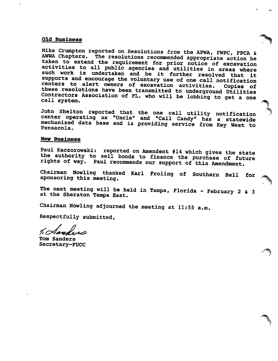#### Old Business

Mike Crumpton reported on Resolutions from the APWA, FWPC, FPCA & AWWA Chapters. The resolutions recommended appropriate action be taken to extend the requirement for prior notice of excavation activities to all public agencies and utilities in areas where such work is undertaken and be it further resolved that it supports and encourage the voluntary use of one call notification centers to alert owners of excavation activities. Copies of these resolutions have been transmitted to underground Utilities Contractors Association of FL. who will be lobbing to get a one call system.

John Shelton reported that the one call utility notification center operating as "Uncle" and "Call Candy" has a statewide mechanized data base and is providing service from Key West to Pensacola.

# New Business

Paul Kaczorowski: reported on Amendent #14 which gives the state the authority to sell bonds to finance the purchase of future rights of way. Paul recommends our support of this Amendment.

Chairman Nowling thanked Karl Froling of Southern Bell for sponsoring this meeting.

The next meeting will be held in Tampa, Florida - February 2 & 3 at the Sheraton Tampa East.

Chairman Nowling adjourned the meeting at 11:55 a.m.

Respectfully submitted.

 $1$   $\curvearrowright$  and

Tom Sanders Secretary-FUCC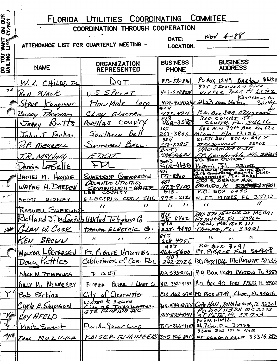| <b>OUR</b><br>$\overline{\phantom{a}}$<br>$\overline{\mathbf{z}}$ | <b>COMMITEE</b><br><b>COORDINATING</b><br>FLORIDA UTILITIES   |                                                     |                                  |                                                                                                                                                                                                                                    |  |  |
|-------------------------------------------------------------------|---------------------------------------------------------------|-----------------------------------------------------|----------------------------------|------------------------------------------------------------------------------------------------------------------------------------------------------------------------------------------------------------------------------------|--|--|
| $\mathbf{z} \mathbf{\Sigma}$                                      |                                                               | THROUGH COOPERATION<br><b>COORDINATION</b>          |                                  |                                                                                                                                                                                                                                    |  |  |
| <b>ASE</b>                                                        |                                                               | ATTENDANCE LIST FOR QUARTERLY MEETING -             | DATE:<br><b>LOCATION:</b>        | $1001 + 88$                                                                                                                                                                                                                        |  |  |
| <b>SAILINR</b><br><b>ANITING</b>                                  | <b>NAME</b>                                                   | <b>ORGANIZATION</b><br><b>REPRESENTED</b>           | <b>BUSINESS</b><br><b>PHONE</b>  | <b>BUSINESS</b><br><b>ADDRESS</b>                                                                                                                                                                                                  |  |  |
|                                                                   | W. L. CHILDS, Tr                                              |                                                     | $813 - 533 - 816$                | PO SOX 1249 BARTOW 33830                                                                                                                                                                                                           |  |  |
| $y$ ; $\bullet$                                                   | Ko.<br>7   AC K                                               | $1.55$ Print                                        | Ys 7-6 788008                    | 925 SSOMULAN BILU<br>WINTER PALK FI 32792                                                                                                                                                                                          |  |  |
|                                                                   | <u>angusser</u>                                               | 00                                                  | 904                              | Kennesau, Ga<br>404-4280214 2123 Moo. Station                                                                                                                                                                                      |  |  |
|                                                                   | Budby<br><b>FACKHAM</b>                                       | <u>Chay</u><br>ELECTRIC                             | 473-4911<br>873                  | P.O. Ber 308 KEYSTONE<br>$310$ COURT $57$ .                                                                                                                                                                                        |  |  |
|                                                                   | Bu775<br>JERR                                                 | COUNTY<br>$P$ INE/ $/4S$                            | 462-3588<br>505                  | CLWTR. FL. 34616<br>666 N.W 79th Ave Rm 622                                                                                                                                                                                        |  |  |
|                                                                   | J. Farkar                                                     | <u>Southern</u>                                     | 263-3806<br>904'                 | $F/a$ 33126<br>$M$ <i>ioni</i><br>$21JJI$ $30I$ $30I$ $\omega$ . $64V$ $37.$                                                                                                                                                       |  |  |
| 18 F                                                              | K.F. MERRELL                                                  | OUTHERN                                             | <u> 350-2285</u><br>305)         | 3220Z<br>JACKSONVILLE<br>780 S.W. 24 23 ST.                                                                                                                                                                                        |  |  |
|                                                                   | T.R.MªNall                                                    | E DOT.                                              | 524-8621<br>305                  | Landerdale Fla. 33315<br>$70.$ Sox $629100$                                                                                                                                                                                        |  |  |
|                                                                   | ILEnnis LABElle                                               | チレー                                                 | 552-4438<br>904                  | 23102<br>Miami<br>MAGUOLIA CEUTES SUITE ZOO<br>1203 GOUSRUORS SQUAIRE BLUD.<br>TALLAHASSEE, FLA. 32301                                                                                                                             |  |  |
| $\mathcal{L} \subset \mathbb{R}^n$                                | . N zamal<br>HAYNIE                                           | SVEEDRUP CORPORATION<br>ORLANDO UTILITIES           | $877 - 8500$<br>401              | 500 S. ORAHGE AVE.<br><b>SELECTES</b> 32801<br>ORLANDO, FL                                                                                                                                                                         |  |  |
| $\mathcal{A} \in \mathcal{C}^{\mathcal{C}}$                       | WAYNE H.DARDEN                                                | COMMISSION-WATER<br>LEE COUNTY                      | 423-9100<br>$813 -$              | P.O. BOX 3455<br>995-2121 N. FT. MYBES FL 33912                                                                                                                                                                                    |  |  |
|                                                                   | SIDNEY<br><u> Scott</u>                                       | ELECTRIC COOP INC<br>$^{\prime\prime}$<br>$\lambda$ | $\prime\prime$<br>$\prime\prime$ | $\boldsymbol{\mathcal{U}}$<br>$\prime\prime$                                                                                                                                                                                       |  |  |
|                                                                   | Roswell SHERLING<br>Richard J. melonsille United Telephone Co |                                                     |                                  | BOX 370 1520 LEE ST MC1641                                                                                                                                                                                                         |  |  |
|                                                                   | MAN W. COCK                                                   | TAMPA BLECTRIC CO.                                  |                                  | $\begin{array}{ c c c c c }\n\hline\hline g/3 & g/62 & g/625 & g/62 & g/32922 \\ \hline g/3 & g/62 & g/67 & g/625 & g/665 & g/66 \\ \hline g/13 & g/62 & g/62 & g/664 & g/664 \\ \hline \end{array}$<br>228. 4690 TAMPA, FL. 33601 |  |  |
|                                                                   | KEN BROWN                                                     | $\mathbf{z}$<br>$\mathcal{U}$<br>$\sqrt{2}$         | ⊪⊬ ೦<br>2284205                  | $\mathbf{u}$<br>n<br>$1 - 1$                                                                                                                                                                                                       |  |  |
|                                                                   |                                                               | WALTER L. PETERSEN FT. PIERCE VTIMTIES              | 407                              | $P_{10}$ , $B_0 \times 3191$<br>464-5600 FT, PIERCE FLA 34948                                                                                                                                                                      |  |  |
|                                                                   | Doug Kettles                                                  | $\vert$ Cablevision of Cen. Flz $\vert\vert$        | 407                              | 242-2926 P.O. Box 1016 Melbauent 32935                                                                                                                                                                                             |  |  |
|                                                                   | NICK M. ZEMBILLAS                                             | F.D.O.T                                             |                                  | $333816(1)$ P.O. Box 1249 BAROW TU 3383                                                                                                                                                                                            |  |  |
|                                                                   | BILLY M. NEWBERRY                                             | FLORIDA                                             |                                  | $f_{0WER}$ + $L GH$ $G.$ $(813 \t332 - 9133)$ $(0.60x \t40$ FORT MYERS, FL 33902                                                                                                                                                   |  |  |
|                                                                   | <u>Y' Bob Ferkins</u>                                         | City of Clearwater                                  |                                  | 813 462-6790 PD BOX 4749, Clure, FL 34618                                                                                                                                                                                          |  |  |
|                                                                   | Clucle E. Simpsonl                                            | WATER & Sewer<br>City OF TAILALARTEL                |                                  | $\left  \frac{\mu_0}{12599.8056} \right $ City Hall, Tallahassee, $\bar{n}$ . 32301                                                                                                                                                |  |  |
|                                                                   | RAY AFELD                                                     |                                                     |                                  | 813-813-1591 57 PETE FL 33723<br>$P$ <sub>0</sub> $B$ <sub>0</sub> $K$ <sub>14</sub> $O$ 42                                                                                                                                        |  |  |
|                                                                   | 1 Mark Sweet                                                  | Florida Yower Corp                                  |                                  | $\frac{ 813.866 - 4207  \leq 2.066, F L \leq 33733}{3300 \leq 0.1374 \text{ AVE}}$                                                                                                                                                 |  |  |
| - 8Y FF                                                           | TOM MUZICKS                                                   |                                                     |                                  | $ K\Delta t$ SER ENGINEERS 3057668017 FT LAUDER DALIE 33315289                                                                                                                                                                     |  |  |
|                                                                   |                                                               |                                                     |                                  |                                                                                                                                                                                                                                    |  |  |
|                                                                   |                                                               |                                                     |                                  |                                                                                                                                                                                                                                    |  |  |